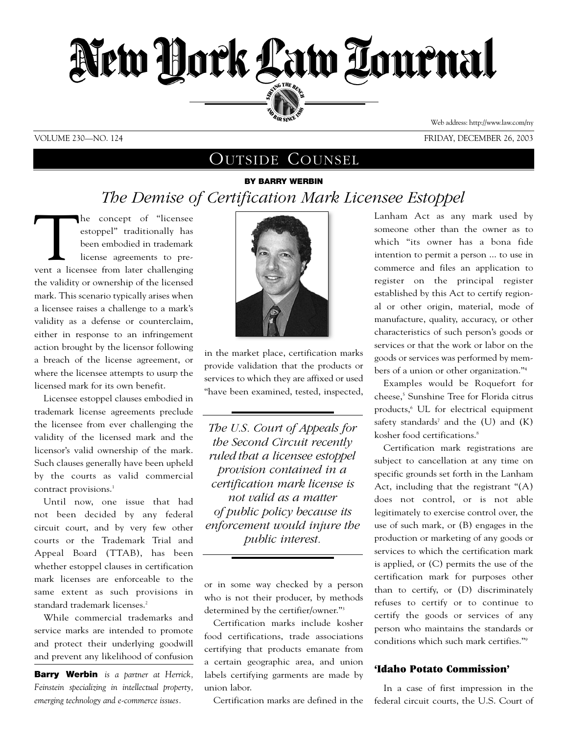

## VOLUME 230—NO. 124 FRIDAY, DECEMBER 26, 2003

Web address: http://www.law.com/ny

# OUTSIDE COUNSEL

# **BY BARRY WERBIN** *The Demise of Certification Mark Licensee Estoppel*

The concept of "licensee estoppel" traditionally has been embodied in trademark license agreements to prevent a licensee from later challenging estoppel" traditionally has been embodied in trademark license agreements to prethe validity or ownership of the licensed mark. This scenario typically arises when a licensee raises a challenge to a mark's validity as a defense or counterclaim, either in response to an infringement action brought by the licensor following a breach of the license agreement, or where the licensee attempts to usurp the licensed mark for its own benefit.

Licensee estoppel clauses embodied in trademark license agreements preclude the licensee from ever challenging the validity of the licensed mark and the licensor's valid ownership of the mark. Such clauses generally have been upheld by the courts as valid commercial contract provisions.<sup>1</sup>

Until now, one issue that had not been decided by any federal circuit court, and by very few other courts or the Trademark Trial and Appeal Board (TTAB), has been whether estoppel clauses in certification mark licenses are enforceable to the same extent as such provisions in standard trademark licenses.<sup>2</sup>

While commercial trademarks and service marks are intended to promote and protect their underlying goodwill and prevent any likelihood of confusion

**Barry Werbin** *is a partner at Herrick, Feinstein specializing in intellectual property, emerging technology and e-commerce issues.*



in the market place, certification marks provide validation that the products or services to which they are affixed or used "have been examined, tested, inspected,

*------------------------------------------------*

*The U.S. Court of Appeals for the Second Circuit recently ruled that a licensee estoppel provision contained in a certification mark license is not valid as a matter of public policy because its enforcement would injure the public interest.* 

or in some way checked by a person who is not their producer, by methods determined by the certifier/owner."3

*------------------------------------------------*

Certification marks include kosher food certifications, trade associations certifying that products emanate from a certain geographic area, and union labels certifying garments are made by union labor.

Certification marks are defined in the

Lanham Act as any mark used by someone other than the owner as to which "its owner has a bona fide intention to permit a person ... to use in commerce and files an application to register on the principal register established by this Act to certify regional or other origin, material, mode of manufacture, quality, accuracy, or other characteristics of such person's goods or services or that the work or labor on the goods or services was performed by members of a union or other organization."4

Examples would be Roquefort for cheese,<sup>5</sup> Sunshine Tree for Florida citrus products,<sup>6</sup> UL for electrical equipment safety standards<sup>7</sup> and the  $(U)$  and  $(K)$ kosher food certifications.<sup>8</sup>

Certification mark registrations are subject to cancellation at any time on specific grounds set forth in the Lanham Act, including that the registrant "(A) does not control, or is not able legitimately to exercise control over, the use of such mark, or (B) engages in the production or marketing of any goods or services to which the certification mark is applied, or (C) permits the use of the certification mark for purposes other than to certify, or (D) discriminately refuses to certify or to continue to certify the goods or services of any person who maintains the standards or conditions which such mark certifies."9

# **'Idaho Potato Commission'**

In a case of first impression in the federal circuit courts, the U.S. Court of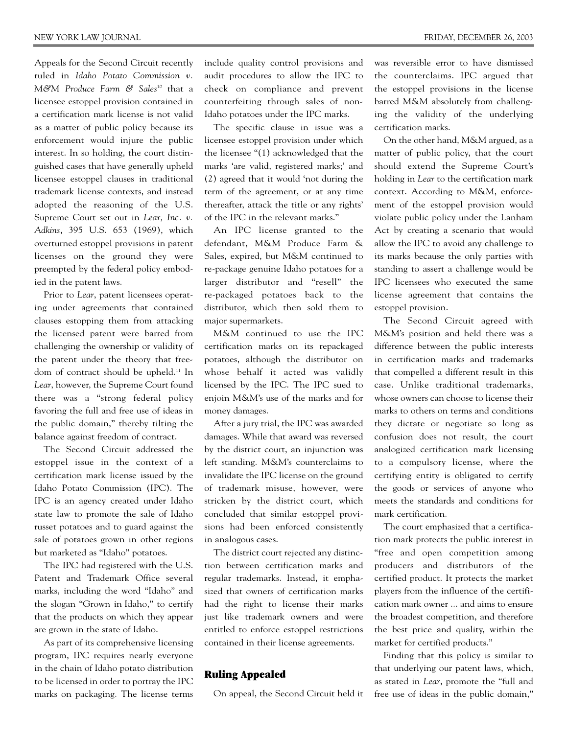Appeals for the Second Circuit recently ruled in *Idaho Potato Commission v. M&M Produce Farm & Sales*<sup>10</sup> that a licensee estoppel provision contained in a certification mark license is not valid as a matter of public policy because its enforcement would injure the public interest. In so holding, the court distinguished cases that have generally upheld licensee estoppel clauses in traditional trademark license contexts, and instead adopted the reasoning of the U.S. Supreme Court set out in *Lear, Inc. v. Adkins*, 395 U.S. 653 (1969), which overturned estoppel provisions in patent licenses on the ground they were preempted by the federal policy embodied in the patent laws.

Prior to *Lear*, patent licensees operating under agreements that contained clauses estopping them from attacking the licensed patent were barred from challenging the ownership or validity of the patent under the theory that freedom of contract should be upheld.11 In *Lear*, however, the Supreme Court found there was a "strong federal policy favoring the full and free use of ideas in the public domain," thereby tilting the balance against freedom of contract.

The Second Circuit addressed the estoppel issue in the context of a certification mark license issued by the Idaho Potato Commission (IPC). The IPC is an agency created under Idaho state law to promote the sale of Idaho russet potatoes and to guard against the sale of potatoes grown in other regions but marketed as "Idaho" potatoes.

The IPC had registered with the U.S. Patent and Trademark Office several marks, including the word "Idaho" and the slogan "Grown in Idaho," to certify that the products on which they appear are grown in the state of Idaho.

As part of its comprehensive licensing program, IPC requires nearly everyone in the chain of Idaho potato distribution to be licensed in order to portray the IPC marks on packaging. The license terms

include quality control provisions and audit procedures to allow the IPC to check on compliance and prevent counterfeiting through sales of non-Idaho potatoes under the IPC marks.

The specific clause in issue was a licensee estoppel provision under which the licensee "(1) acknowledged that the marks 'are valid, registered marks;' and (2) agreed that it would 'not during the term of the agreement, or at any time thereafter, attack the title or any rights' of the IPC in the relevant marks."

An IPC license granted to the defendant, M&M Produce Farm & Sales, expired, but M&M continued to re-package genuine Idaho potatoes for a larger distributor and "resell" the re-packaged potatoes back to the distributor, which then sold them to major supermarkets.

M&M continued to use the IPC certification marks on its repackaged potatoes, although the distributor on whose behalf it acted was validly licensed by the IPC. The IPC sued to enjoin M&M's use of the marks and for money damages.

After a jury trial, the IPC was awarded damages. While that award was reversed by the district court, an injunction was left standing. M&M's counterclaims to invalidate the IPC license on the ground of trademark misuse, however, were stricken by the district court, which concluded that similar estoppel provisions had been enforced consistently in analogous cases.

The district court rejected any distinction between certification marks and regular trademarks. Instead, it emphasized that owners of certification marks had the right to license their marks just like trademark owners and were entitled to enforce estoppel restrictions contained in their license agreements.

## **Ruling Appealed**

On appeal, the Second Circuit held it

was reversible error to have dismissed the counterclaims. IPC argued that the estoppel provisions in the license barred M&M absolutely from challenging the validity of the underlying certification marks.

On the other hand, M&M argued, as a matter of public policy, that the court should extend the Supreme Court's holding in *Lear* to the certification mark context. According to M&M, enforcement of the estoppel provision would violate public policy under the Lanham Act by creating a scenario that would allow the IPC to avoid any challenge to its marks because the only parties with standing to assert a challenge would be IPC licensees who executed the same license agreement that contains the estoppel provision.

The Second Circuit agreed with M&M's position and held there was a difference between the public interests in certification marks and trademarks that compelled a different result in this case. Unlike traditional trademarks, whose owners can choose to license their marks to others on terms and conditions they dictate or negotiate so long as confusion does not result, the court analogized certification mark licensing to a compulsory license, where the certifying entity is obligated to certify the goods or services of anyone who meets the standards and conditions for mark certification.

The court emphasized that a certification mark protects the public interest in "free and open competition among producers and distributors of the certified product. It protects the market players from the influence of the certification mark owner ... and aims to ensure the broadest competition, and therefore the best price and quality, within the market for certified products."

Finding that this policy is similar to that underlying our patent laws, which, as stated in *Lear*, promote the "full and free use of ideas in the public domain,"